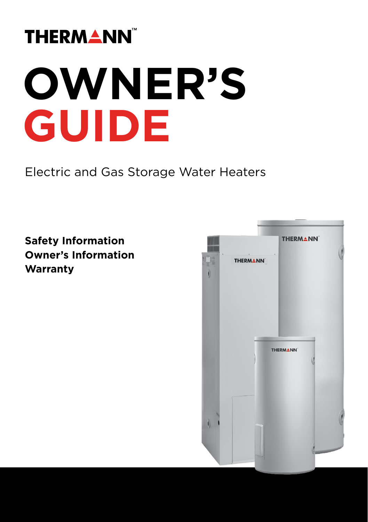## **THERMANN**

# **OWNER'S GUIDE**

Electric and Gas Storage Water Heaters

### **Safety Information Owner's Information Warranty**

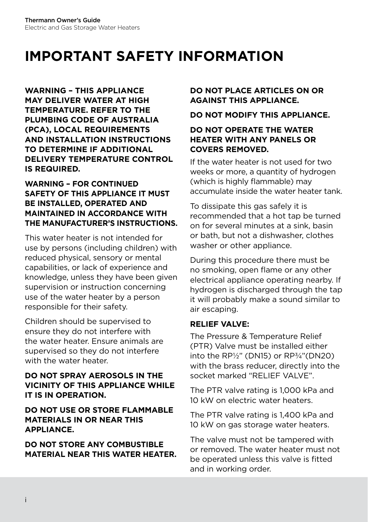**WARNING – THIS APPLIANCE MAY DELIVER WATER AT HIGH TEMPERATURE. REFER TO THE PLUMBING CODE OF AUSTRALIA (PCA), LOCAL REQUIREMENTS AND INSTALLATION INSTRUCTIONS TO DETERMINE IF ADDITIONAL DELIVERY TEMPERATURE CONTROL IS REQUIRED.**

#### **WARNING – FOR CONTINUED SAFETY OF THIS APPLIANCE IT MUST BE INSTALLED, OPERATED AND MAINTAINED IN ACCORDANCE WITH THE MANUFACTURER'S INSTRUCTIONS**.

This water heater is not intended for use by persons (including children) with reduced physical, sensory or mental capabilities, or lack of experience and knowledge, unless they have been given supervision or instruction concerning use of the water heater by a person responsible for their safety.

Children should be supervised to ensure they do not interfere with the water heater. Ensure animals are supervised so they do not interfere with the water heater.

#### **DO NOT SPRAY AEROSOLS IN THE VICINITY OF THIS APPLIANCE WHILE IT IS IN OPERATION.**

#### **DO NOT USE OR STORE FLAMMABLE MATERIALS IN OR NEAR THIS APPLIANCE.**

**DO NOT STORE ANY COMBUSTIBLE MATERIAL NEAR THIS WATER HEATER.**

#### **DO NOT PLACE ARTICLES ON OR AGAINST THIS APPLIANCE.**

#### **DO NOT MODIFY THIS APPLIANCE.**

#### **DO NOT OPERATE THE WATER HEATER WITH ANY PANELS OR COVERS REMOVED.**

If the water heater is not used for two weeks or more, a quantity of hydrogen (which is highly flammable) may accumulate inside the water heater tank.

To dissipate this gas safely it is recommended that a hot tap be turned on for several minutes at a sink, basin or bath, but not a dishwasher, clothes washer or other appliance.

During this procedure there must be no smoking, open flame or any other electrical appliance operating nearby. If hydrogen is discharged through the tap it will probably make a sound similar to air escaping.

#### **RELIEF VALVE:**

The Pressure & Temperature Relief (PTR) Valve must be installed either into the RP½" (DN15) or RP¾"(DN20) with the brass reducer, directly into the socket marked "RELIEF VALVE".

The PTR valve rating is 1,000 kPa and 10 kW on electric water heaters.

The PTR valve rating is 1,400 kPa and 10 kW on gas storage water heaters.

The valve must not be tampered with or removed. The water heater must not be operated unless this valve is fitted and in working order.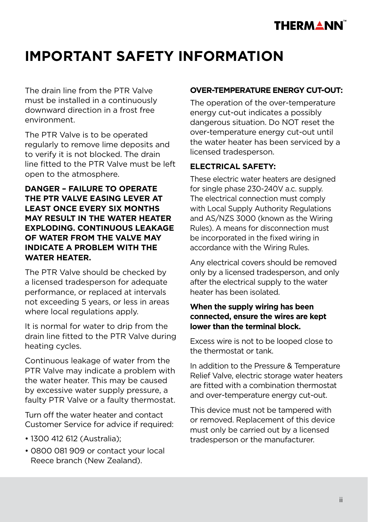

The drain line from the PTR Valve must be installed in a continuously downward direction in a frost free environment.

The PTR Valve is to be operated regularly to remove lime deposits and to verify it is not blocked. The drain line fitted to the PTR Valve must be left open to the atmosphere.

#### **DANGER – FAILURE TO OPERATE THE PTR VALVE EASING LEVER AT LEAST ONCE EVERY SIX MONTHS MAY RESULT IN THE WATER HEATER EXPLODING. CONTINUOUS LEAKAGE OF WATER FROM THE VALVE MAY INDICATE A PROBLEM WITH THE WATER HEATER.**

The PTR Valve should be checked by a licensed tradesperson for adequate performance, or replaced at intervals not exceeding 5 years, or less in areas where local regulations apply.

It is normal for water to drip from the drain line fitted to the PTR Valve during heating cycles.

Continuous leakage of water from the PTR Valve may indicate a problem with the water heater. This may be caused by excessive water supply pressure, a faulty PTR Valve or a faulty thermostat.

Turn off the water heater and contact Customer Service for advice if required:

- 1300 412 612 (Australia);
- 0800 081 909 or contact your local Reece branch (New Zealand).

#### **OVER-TEMPERATURE ENERGY CUT-OUT:**

The operation of the over-temperature energy cut-out indicates a possibly dangerous situation. Do NOT reset the over-temperature energy cut-out until the water heater has been serviced by a licensed tradesperson.

#### **ELECTRICAL SAFETY:**

These electric water heaters are designed for single phase 230-240V a.c. supply. The electrical connection must comply with Local Supply Authority Regulations and AS/NZS 3000 (known as the Wiring Rules). A means for disconnection must be incorporated in the fixed wiring in accordance with the Wiring Rules.

Any electrical covers should be removed only by a licensed tradesperson, and only after the electrical supply to the water heater has been isolated.

#### **When the supply wiring has been connected, ensure the wires are kept lower than the terminal block.**

Excess wire is not to be looped close to the thermostat or tank.

In addition to the Pressure & Temperature Relief Valve, electric storage water heaters are fitted with a combination thermostat and over-temperature energy cut-out.

This device must not be tampered with or removed. Replacement of this device must only be carried out by a licensed tradesperson or the manufacturer.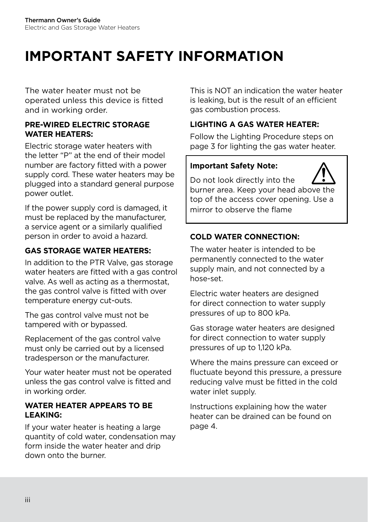The water heater must not be operated unless this device is fitted and in working order.

#### **PRE-WIRED ELECTRIC STORAGE WATER HEATERS:**

Electric storage water heaters with the letter "P" at the end of their model number are factory fitted with a power supply cord. These water heaters may be plugged into a standard general purpose power outlet.

If the power supply cord is damaged, it must be replaced by the manufacturer, a service agent or a similarly qualified person in order to avoid a hazard.

#### **GAS STORAGE WATER HEATERS:**

In addition to the PTR Valve, gas storage water heaters are fitted with a gas control valve. As well as acting as a thermostat, the gas control valve is fitted with over temperature energy cut-outs.

The gas control valve must not be tampered with or bypassed.

Replacement of the gas control valve must only be carried out by a licensed tradesperson or the manufacturer.

Your water heater must not be operated unless the gas control valve is fitted and in working order.

#### **WATER HEATER APPEARS TO BE LEAKING:**

If your water heater is heating a large quantity of cold water, condensation may form inside the water heater and drip down onto the burner.

This is NOT an indication the water heater is leaking, but is the result of an efficient gas combustion process.

#### **LIGHTING A GAS WATER HEATER:**

Follow the Lighting Procedure steps on page 3 for lighting the gas water heater.

#### **Important Safety Note:**

Do not look directly into the burner area. Keep your head above the top of the access cover opening. Use a mirror to observe the flame

#### **COLD WATER CONNECTION:**

The water heater is intended to be permanently connected to the water supply main, and not connected by a hose-set.

Electric water heaters are designed for direct connection to water supply pressures of up to 800 kPa.

Gas storage water heaters are designed for direct connection to water supply pressures of up to 1,120 kPa.

Where the mains pressure can exceed or fluctuate beyond this pressure, a pressure reducing valve must be fitted in the cold water inlet supply.

Instructions explaining how the water heater can be drained can be found on page 4.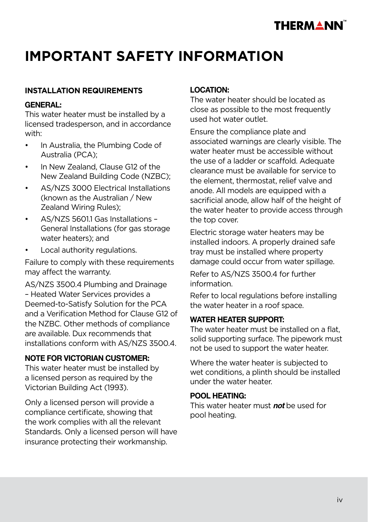

#### **INSTALLATION REQUIREMENTS**

#### **GENERAL:**

This water heater must be installed by a licensed tradesperson, and in accordance with:

- In Australia, the Plumbing Code of Australia (PCA);
- In New Zealand, Clause G12 of the New Zealand Building Code (NZBC);
- AS/NZS 3000 Electrical Installations (known as the Australian / New Zealand Wiring Rules);
- AS/NZS 5601.1 Gas Installations General Installations (for gas storage water heaters); and
- Local authority regulations.

Failure to comply with these requirements may affect the warranty.

AS/NZS 3500.4 Plumbing and Drainage – Heated Water Services provides a Deemed-to-Satisfy Solution for the PCA and a Verification Method for Clause G12 of the NZBC. Other methods of compliance are available. Dux recommends that installations conform with AS/NZS 3500.4.

#### **NOTE FOR VICTORIAN CUSTOMER:**

This water heater must be installed by a licensed person as required by the Victorian Building Act (1993).

Only a licensed person will provide a compliance certificate, showing that the work complies with all the relevant Standards. Only a licensed person will have insurance protecting their workmanship.

#### **LOCATION:**

The water heater should be located as close as possible to the most frequently used hot water outlet.

Ensure the compliance plate and associated warnings are clearly visible. The water heater must be accessible without the use of a ladder or scaffold. Adequate clearance must be available for service to the element, thermostat, relief valve and anode. All models are equipped with a sacrificial anode, allow half of the height of the water heater to provide access through the top cover.

Electric storage water heaters may be installed indoors. A properly drained safe tray must be installed where property damage could occur from water spillage.

Refer to AS/NZS 3500.4 for further information.

Refer to local regulations before installing the water heater in a roof space.

#### **WATER HEATER SUPPORT:**

The water heater must be installed on a flat, solid supporting surface. The pipework must not be used to support the water heater.

Where the water heater is subjected to wet conditions, a plinth should be installed under the water heater.

#### **POOL HEATING:**

This water heater must **not** be used for pool heating.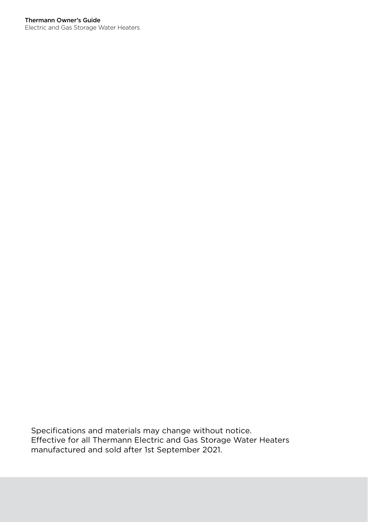Electric and Gas Storage Water Heaters

Specifications and materials may change without notice. Effective for all Thermann Electric and Gas Storage Water Heaters manufactured and sold after 1st September 2021.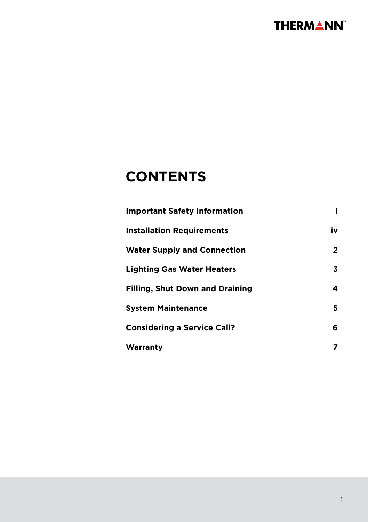

## **CONTENTS**

| <b>Important Safety Information</b>    |    |
|----------------------------------------|----|
| <b>Installation Requirements</b>       | iv |
| <b>Water Supply and Connection</b>     | 2  |
| <b>Lighting Gas Water Heaters</b>      | 3  |
| <b>Filling, Shut Down and Draining</b> | 4  |
| <b>System Maintenance</b>              | 5  |
| <b>Considering a Service Call?</b>     | 6  |
| Warranty                               | 7  |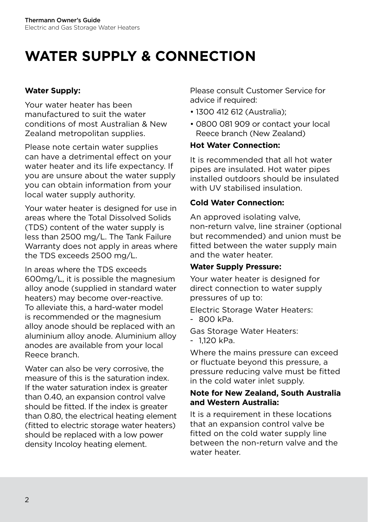## **WATER SUPPLY & CONNECTION**

#### **Water Supply:**

Your water heater has been manufactured to suit the water conditions of most Australian & New Zealand metropolitan supplies.

Please note certain water supplies can have a detrimental effect on your water heater and its life expectancy. If you are unsure about the water supply you can obtain information from your local water supply authority.

Your water heater is designed for use in areas where the Total Dissolved Solids (TDS) content of the water supply is less than 2500 mg/L. The Tank Failure Warranty does not apply in areas where the TDS exceeds 2500 mg/L.

In areas where the TDS exceeds 600mg/L, it is possible the magnesium alloy anode (supplied in standard water heaters) may become over-reactive. To alleviate this, a hard-water model is recommended or the magnesium alloy anode should be replaced with an aluminium alloy anode. Aluminium alloy anodes are available from your local Reece branch.

Water can also be very corrosive, the measure of this is the saturation index. If the water saturation index is greater than 0.40, an expansion control valve should be fitted. If the index is greater than 0.80, the electrical heating element (fitted to electric storage water heaters) should be replaced with a low power density Incoloy heating element.

Please consult Customer Service for advice if required:

- 1300 412 612 (Australia);
- 0800 081 909 or contact your local Reece branch (New Zealand)

#### **Hot Water Connection:**

It is recommended that all hot water pipes are insulated. Hot water pipes installed outdoors should be insulated with UV stabilised insulation.

#### **Cold Water Connection:**

An approved isolating valve, non-return valve, line strainer (optional but recommended) and union must be fitted between the water supply main and the water heater.

#### **Water Supply Pressure:**

Your water heater is designed for direct connection to water supply pressures of up to:

Electric Storage Water Heaters:

- 800 kPa.

Gas Storage Water Heaters:

- 1,120 kPa.

Where the mains pressure can exceed or fluctuate beyond this pressure, a pressure reducing valve must be fitted in the cold water inlet supply.

#### **Note for New Zealand, South Australia and Western Australia:**

It is a requirement in these locations that an expansion control valve be fitted on the cold water supply line between the non-return valve and the water heater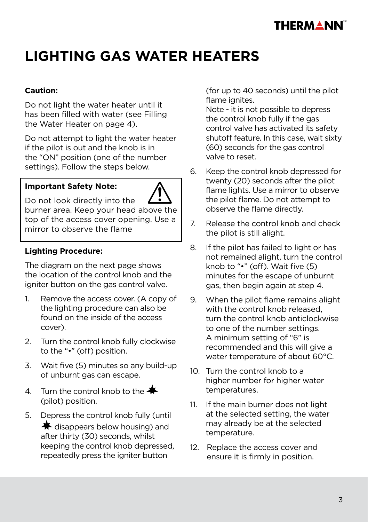

## **LIGHTING GAS WATER HEATERS**

#### **Caution:**

Do not light the water heater until it has been filled with water (see Filling the Water Heater on page 4).

Do not attempt to light the water heater if the pilot is out and the knob is in the "ON" position (one of the number settings). Follow the steps below.

#### **Important Safety Note:**



Do not look directly into the burner area. Keep your head above the top of the access cover opening. Use a mirror to observe the flame

#### **Lighting Procedure:**

The diagram on the next page shows the location of the control knob and the igniter button on the gas control valve.

- 1. Remove the access cover. (A copy of the lighting procedure can also be found on the inside of the access cover).
- 2. Turn the control knob fully clockwise to the "•" (off) position.
- 3. Wait five (5) minutes so any build-up of unburnt gas can escape.
- 4. Turn the control knob to the  $\clubsuit$ (pilot) position.
- 5. Depress the control knob fully (until  $\bigstar$  disappears below housing) and after thirty (30) seconds, whilst keeping the control knob depressed, repeatedly press the igniter button

(for up to 40 seconds) until the pilot flame ignites.

Note - it is not possible to depress the control knob fully if the gas control valve has activated its safety shutoff feature. In this case, wait sixty (60) seconds for the gas control valve to reset.

- 6. Keep the control knob depressed for twenty (20) seconds after the pilot flame lights. Use a mirror to observe the pilot flame. Do not attempt to observe the flame directly.
- 7. Release the control knob and check the pilot is still alight.
- 8. If the pilot has failed to light or has not remained alight, turn the control knob to "•" (off). Wait five (5) minutes for the escape of unburnt gas, then begin again at step 4.
- 9. When the pilot flame remains alight with the control knob released, turn the control knob anticlockwise to one of the number settings. A minimum setting of "6" is recommended and this will give a water temperature of about 60°C.
- 10. Turn the control knob to a higher number for higher water temperatures.
- 11. If the main burner does not light at the selected setting, the water may already be at the selected temperature.
- 12. Replace the access cover and ensure it is firmly in position.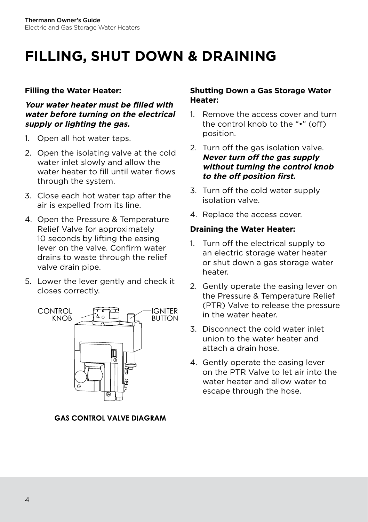## **FILLING, SHUT DOWN & DRAINING**

#### **Filling the Water Heater:**

**Your water heater must be filled with water before turning on the electrical supply or lighting the gas.**

- 1. Open all hot water taps.
- 2. Open the isolating valve at the cold water inlet slowly and allow the water heater to fill until water flows through the system.
- 3. Close each hot water tap after the air is expelled from its line.
- 4. Open the Pressure & Temperature Relief Valve for approximately 10 seconds by lifting the easing lever on the valve. Confirm water drains to waste through the relief valve drain pipe.
- 5. Lower the lever gently and check it closes correctly.



**GAS CONTROL VALVE DIAGRAM** 

#### **Shutting Down a Gas Storage Water Heater:**

- 1. Remove the access cover and turn the control knob to the "•" (off) position.
- 2. Turn off the gas isolation valve. **Never turn off the gas supply without turning the control knob to the off position first.**
- 3. Turn off the cold water supply isolation valve.
- 4. Replace the access cover.

#### **Draining the Water Heater:**

- 1. Turn off the electrical supply to an electric storage water heater or shut down a gas storage water heater.
- 2. Gently operate the easing lever on the Pressure & Temperature Relief (PTR) Valve to release the pressure in the water heater.
- 3. Disconnect the cold water inlet union to the water heater and attach a drain hose.
- 4. Gently operate the easing lever on the PTR Valve to let air into the water heater and allow water to escape through the hose.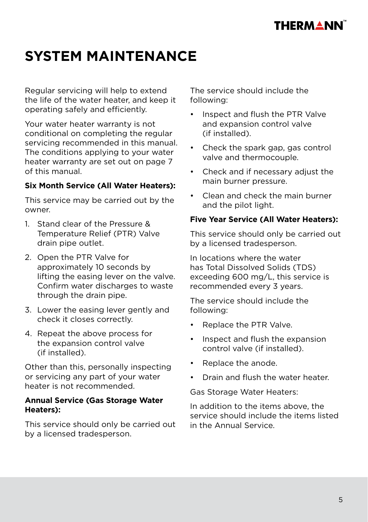## **THERMANN**

## **SYSTEM MAINTENANCE**

Regular servicing will help to extend the life of the water heater, and keep it operating safely and efficiently.

Your water heater warranty is not conditional on completing the regular servicing recommended in this manual. The conditions applying to your water heater warranty are set out on page 7 of this manual.

#### **Six Month Service (All Water Heaters):**

This service may be carried out by the owner.

- 1. Stand clear of the Pressure & Temperature Relief (PTR) Valve drain pipe outlet.
- 2. Open the PTR Valve for approximately 10 seconds by lifting the easing lever on the valve. Confirm water discharges to waste through the drain pipe.
- 3. Lower the easing lever gently and check it closes correctly.
- 4. Repeat the above process for the expansion control valve (if installed).

Other than this, personally inspecting or servicing any part of your water heater is not recommended.

#### **Annual Service (Gas Storage Water Heaters):**

This service should only be carried out by a licensed tradesperson.

The service should include the following:

- Inspect and flush the PTR Valve and expansion control valve (if installed).
- Check the spark gap, gas control valve and thermocouple.
- Check and if necessary adjust the main burner pressure.
- Clean and check the main burner and the pilot light.

#### **Five Year Service (All Water Heaters):**

This service should only be carried out by a licensed tradesperson.

In locations where the water has Total Dissolved Solids (TDS) exceeding 600 mg/L, this service is recommended every 3 years.

The service should include the following:

- Replace the PTR Valve.
- Inspect and flush the expansion control valve (if installed).
- Replace the anode.
- Drain and flush the water heater.

Gas Storage Water Heaters:

In addition to the items above, the service should include the items listed in the Annual Service.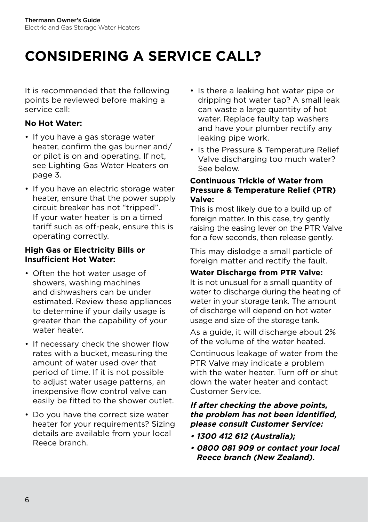## **CONSIDERING A SERVICE CALL?**

It is recommended that the following points be reviewed before making a service call:

#### **No Hot Water:**

- If you have a gas storage water heater, confirm the gas burner and/ or pilot is on and operating. If not, see Lighting Gas Water Heaters on page 3.
- If you have an electric storage water heater, ensure that the power supply circuit breaker has not "tripped". If your water heater is on a timed tariff such as off-peak, ensure this is operating correctly.

#### **High Gas or Electricity Bills or Insufficient Hot Water:**

- Often the hot water usage of showers, washing machines and dishwashers can be under estimated. Review these appliances to determine if your daily usage is greater than the capability of your water heater.
- If necessary check the shower flow rates with a bucket, measuring the amount of water used over that period of time. If it is not possible to adjust water usage patterns, an inexpensive flow control valve can easily be fitted to the shower outlet.
- Do you have the correct size water heater for your requirements? Sizing details are available from your local Reece branch.
- Is there a leaking hot water pipe or dripping hot water tap? A small leak can waste a large quantity of hot water. Replace faulty tap washers and have your plumber rectify any leaking pipe work.
- Is the Pressure & Temperature Relief Valve discharging too much water? See below.

#### **Continuous Trickle of Water from Pressure & Temperature Relief (PTR) Valve:**

This is most likely due to a build up of foreign matter. In this case, try gently raising the easing lever on the PTR Valve for a few seconds, then release gently.

This may dislodge a small particle of foreign matter and rectify the fault.

#### **Water Discharge from PTR Valve:**

It is not unusual for a small quantity of water to discharge during the heating of water in your storage tank. The amount of discharge will depend on hot water usage and size of the storage tank.

As a guide, it will discharge about 2% of the volume of the water heated.

Continuous leakage of water from the PTR Valve may indicate a problem with the water heater. Turn off or shut down the water heater and contact Customer Service.

#### **If after checking the above points, the problem has not been identified, please consult Customer Service:**

- **1300 412 612 (Australia);**
- **0800 081 909 or contact your local Reece branch (New Zealand).**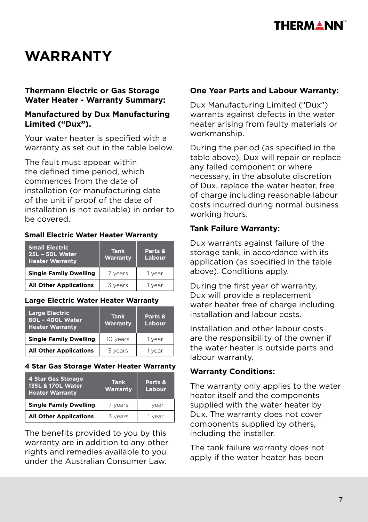

## **WARRANTY**

#### **Thermann Electric or Gas Storage Water Heater - Warranty Summary:**

#### **Manufactured by Dux Manufacturing Limited ("Dux").**

Your water heater is specified with a warranty as set out in the table below.

The fault must appear within the defined time period, which commences from the date of installation (or manufacturing date of the unit if proof of the date of installation is not available) in order to be covered.

#### **Small Electric Water Heater Warranty**

| <b>Small Electric</b><br><b>25L - 50L Water</b><br><b>Heater Warranty</b> | <b>Tank</b><br>Warranty | Parts &<br>Labour |
|---------------------------------------------------------------------------|-------------------------|-------------------|
| <b>Single Family Dwelling</b>                                             | 7 years                 | 1 year            |
| <b>All Other Applications</b>                                             | 3 years                 | 1 year            |

#### **Large Electric Water Heater Warranty**

| <b>Large Electric</b><br>80L - 400L Water<br><b>Heater Warranty</b> | <b>Tank</b><br>Warranty | Parts &<br>Labour |
|---------------------------------------------------------------------|-------------------------|-------------------|
| <b>Single Family Dwelling</b>                                       | 10 years                | 1 year            |
| <b>All Other Applications</b>                                       | 3 years                 | 1 year            |

#### **4 Star Gas Storage Water Heater Warranty**

| 4 Star Gas Storage<br>135L & 170L Water<br><b>Heater Warranty</b> | <b>Tank</b><br>Warranty | Parts &<br>Labour |
|-------------------------------------------------------------------|-------------------------|-------------------|
| <b>Single Family Dwelling</b>                                     | 7 years                 | 1 year            |
| <b>All Other Applications</b>                                     | 3 years                 | vear              |

The benefits provided to you by this warranty are in addition to any other rights and remedies available to you under the Australian Consumer Law.

#### **One Year Parts and Labour Warranty:**

Dux Manufacturing Limited ("Dux") warrants against defects in the water heater arising from faulty materials or workmanship.

During the period (as specified in the table above), Dux will repair or replace any failed component or where necessary, in the absolute discretion of Dux, replace the water heater, free of charge including reasonable labour costs incurred during normal business working hours.

#### **Tank Failure Warranty:**

Dux warrants against failure of the storage tank, in accordance with its application (as specified in the table above). Conditions apply.

During the first year of warranty, Dux will provide a replacement water heater free of charge including installation and labour costs.

Installation and other labour costs are the responsibility of the owner if the water heater is outside parts and labour warranty.

#### **Warranty Conditions:**

The warranty only applies to the water heater itself and the components supplied with the water heater by Dux. The warranty does not cover components supplied by others, including the installer.

The tank failure warranty does not apply if the water heater has been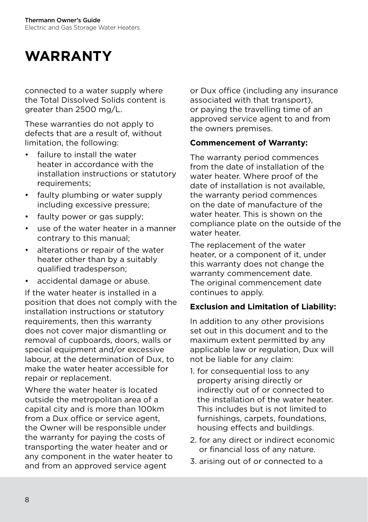## **WARRANTY**

connected to a water supply where the Total Dissolved Solids content is greater than 2500 mg/L.

These warranties do not apply to defects that are a result of, without limitation, the following:

- failure to install the water heater in accordance with the installation instructions or statutory requirements;
- faulty plumbing or water supply including excessive pressure;
- faulty power or gas supply:
- use of the water heater in a manner contrary to this manual;
- alterations or repair of the water heater other than by a suitably qualified tradesperson;
- accidental damage or abuse.

If the water heater is installed in a position that does not comply with the installation instructions or statutory requirements, then this warranty does not cover major dismantling or removal of cupboards, doors, walls or special equipment and/or excessive labour, at the determination of Dux, to make the water heater accessible for repair or replacement.

Where the water heater is located outside the metropolitan area of a capital city and is more than 100km from a Dux office or service agent, the Owner will be responsible under the warranty for paying the costs of transporting the water heater and or any component in the water heater to and from an approved service agent

or Dux office (including any insurance associated with that transport), or paying the travelling time of an approved service agent to and from the owners premises.

#### **Commencement of Warranty:**

The warranty period commences from the date of installation of the water heater. Where proof of the date of installation is not available, the warranty period commences on the date of manufacture of the water heater. This is shown on the compliance plate on the outside of the water heater.

The replacement of the water heater, or a component of it, under this warranty does not change the warranty commencement date. The original commencement date continues to apply.

#### **Exclusion and Limitation of Liability:**

In addition to any other provisions set out in this document and to the maximum extent permitted by any applicable law or regulation, Dux will not be liable for any claim:

- 1. for consequential loss to any property arising directly or indirectly out of or connected to the installation of the water heater. This includes but is not limited to furnishings, carpets, foundations, housing effects and buildings.
- 2. for any direct or indirect economic or financial loss of any nature.
- 3. arising out of or connected to a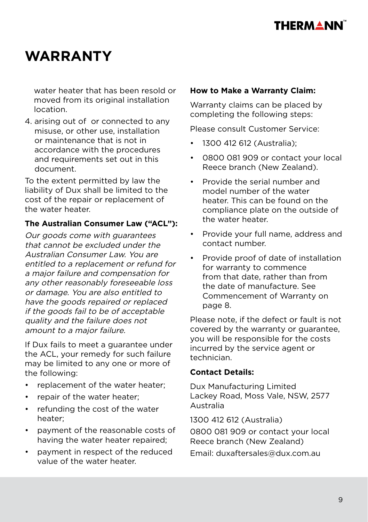

## **WARRANTY**

water heater that has been resold or moved from its original installation location.

4. arising out of or connected to any misuse, or other use, installation or maintenance that is not in accordance with the procedures and requirements set out in this document.

To the extent permitted by law the liability of Dux shall be limited to the cost of the repair or replacement of the water heater.

#### **The Australian Consumer Law ("ACL"):**

Our goods come with guarantees that cannot be excluded under the Australian Consumer Law. You are entitled to a replacement or refund for a major failure and compensation for any other reasonably foreseeable loss or damage. You are also entitled to have the goods repaired or replaced if the goods fail to be of acceptable quality and the failure does not amount to a major failure.

If Dux fails to meet a guarantee under the ACL, your remedy for such failure may be limited to any one or more of the following:

- replacement of the water heater;
- repair of the water heater;
- refunding the cost of the water heater;
- payment of the reasonable costs of having the water heater repaired;
- payment in respect of the reduced value of the water heater.

#### **How to Make a Warranty Claim:**

Warranty claims can be placed by completing the following steps:

Please consult Customer Service:

- 1300 412 612 (Australia);
- 0800 081 909 or contact your local Reece branch (New Zealand).
- Provide the serial number and model number of the water heater. This can be found on the compliance plate on the outside of the water heater.
- Provide your full name, address and contact number.
- Provide proof of date of installation for warranty to commence from that date, rather than from the date of manufacture. See Commencement of Warranty on page 8.

Please note, if the defect or fault is not covered by the warranty or guarantee, you will be responsible for the costs incurred by the service agent or technician.

#### **Contact Details:**

Dux Manufacturing Limited Lackey Road, Moss Vale, NSW, 2577 Australia

1300 412 612 (Australia)

0800 081 909 or contact your local Reece branch (New Zealand)

Email: duxaftersales@dux.com.au